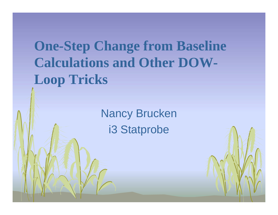# **One-Step Change from Baseline Calculations and Other DOW-Loop Tricks**

Nancy Brucken i3 Statprobe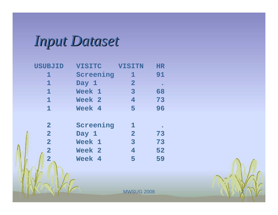*Input Dataset Input Dataset*

| <b>USUBJID</b>          | <b>VISITC</b> | <b>VISITN</b>  | <b>HR</b> |
|-------------------------|---------------|----------------|-----------|
| 1                       | Screening     | 1              | 91        |
| 1                       | Day 1         | $\mathbf{2}$   |           |
| $\mathbf 1$             | Week 1        | $\overline{3}$ | 68        |
| $\mathbf 1$             | Week 2        | $\overline{4}$ | 73        |
| $\mathbf{1}$            | Week 4        | 5              | 96        |
|                         |               |                |           |
| $\overline{2}$          | Screening     | 1              |           |
| $\overline{2}$          | Day 1         | $\overline{2}$ | 73        |
| $\overline{2}$          | Week 1        | $\overline{3}$ | 73        |
| $\overline{2}$          | Week 2        | 4              | 52        |
| $\overline{\mathbf{2}}$ | Week 4        | 5              | 59        |
|                         |               |                |           |

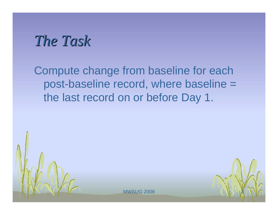#### *The Task The Task*

Compute change from baseline for each post-baseline record, where baseline = the last record on or before Day 1.

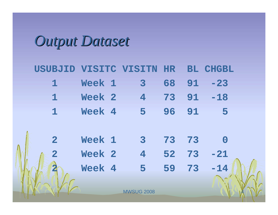# *Output Dataset Output Dataset*

N 1

| USUBJID VISITC VISITN HR |        |                            |    |    | <b>BL CHGBL</b> |  |
|--------------------------|--------|----------------------------|----|----|-----------------|--|
| $\mathbf 1$              | Week 1 | $\overline{\mathbf{3}}$    | 68 | 91 | $-23$           |  |
| $\mathbf{1}$             | Week 2 | $\overline{4}$             | 73 | 91 | $-18$           |  |
| $\mathbf{1}$             | Week 4 | $-5$                       | 96 | 91 | -5              |  |
|                          |        |                            |    |    |                 |  |
| $\overline{\mathbf{2}}$  | Week 1 | $\overline{\phantom{a}}$ 3 | 73 | 73 | $\overline{0}$  |  |
| $\overline{2}$           | Week 2 | $\overline{4}$             | 52 | 73 | $-21$           |  |
|                          | Week 4 | 5                          | 59 | 73 | $-14$           |  |
|                          |        |                            |    |    |                 |  |
|                          |        | <b>MWSUG 2008</b>          |    |    |                 |  |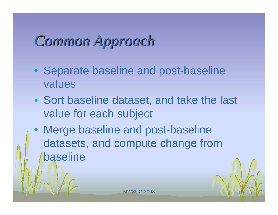# *Common Approach Common Approach*

- Separate baseline and post-baseline values
- Sort baseline dataset, and take the last value for each subject
- Merge baseline and post-baseline datasets, and compute change from baseline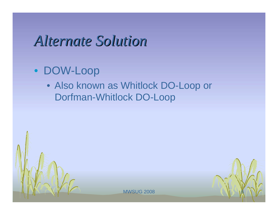#### *Alternate Solution Alternate Solution*

#### • DOW-Loop

• Also known as Whitlock DO-Loop or Dorfman-Whitlock DO-Loop



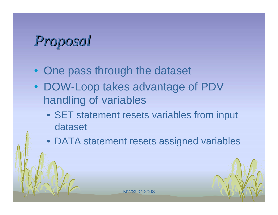# *Proposal Proposal*

- One pass through the dataset
- DOW-Loop takes advantage of PDV handling of variables
	- SET statement resets variables from input dataset
	- DATA statement resets assigned variables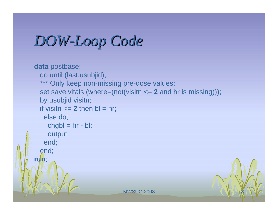## *DOW-Loop Code Loop Code*

```
MWSUG 2008
data postbase;
  do until (last.usubjid);
  *** Only keep non-missing pre-dose values;
  set save.vitals (where=(not(visitn <= 2 and hr is missing)));
  by usubjid visitn;
 if visitn \leq 2 then bl = hr;
   else do;
    chgbl = hr - bl;output;
   end;
  end;
run;
```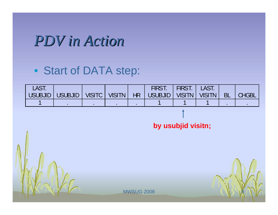### *PDV in Action PDV in Action*

#### • Start of DATA step:

| <b>LAST.</b> |                                                                      |  | <b>FIRST.</b> | FIRST.   LAST. |           |                |
|--------------|----------------------------------------------------------------------|--|---------------|----------------|-----------|----------------|
|              | USUBJID   USUBJID   VISITC   VISITN   HR   USUBJID   VISITN   VISITN |  |               |                | <b>BL</b> | <b>T CHGBL</b> |
|              |                                                                      |  |               |                |           |                |

**by usubjid visitn;**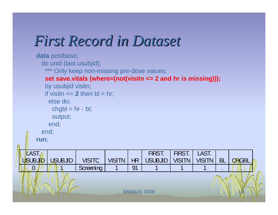## *First Record in Dataset First Record in Dataset*

```
MWSUG 2008
 LAST.
USUBJID | USUBJID | VISITC | VISITN
                                    HRFIRST. 
                                         USUBJID 
                                                  FIRST.
                                                  VISITN
                                                          LAST. 
                                                          VISITN | BL | CHGBL
   0 1 1 Screening 1 91 1 1 1 1
    data postbase;
      do until (last.usubjid);
       *** Only keep non-missing pre-dose values;
       set save.vitals (where=(not(visitn <= 2 and hr is missing)));
       by usubjid visitn;
       if visitn \leq 2 then bl = hr;
        else do;
         chgbl = hr - bl;output;
        end;
      end;
    run;
```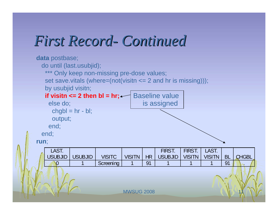#### *First Record First Record- Continued Continued*

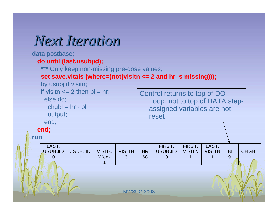#### *Next Iteration Next Iteration*

**data** postbase;

#### **do until (last.usubjid);**

\*\*\* Only keep non-missing pre-dose values;

#### **set save.vitals (where=(not(visitn <= 2 and hr is missing)));**

by usubjid visitn;

if visitn  $\leq$  **2** then bl = hr;

else do;

```
chgbl = hr - bl;
```
output;

end;

**end;**

**run**;

Control returns to top of DO-Loop, not to top of DATA stepassigned variables are not reset

LAST. USUB JID USUB JID VISITC VISITN HR FIRS T. USUB JID FIRS T.VISITN LAST. VISITN | BL | CHGBL 0 | 1 | Week 1 3 68 0 1 1 91 .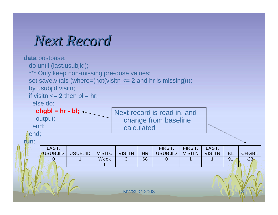#### *Next Record Next Record*

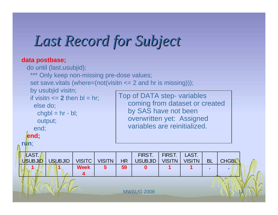## *Last Record for Subject Last Record for Subject*

#### **data postbase;**

**1 1 Week** 

**4** 



**MWSUG 2008** 

**5 59 0 1 1 . .**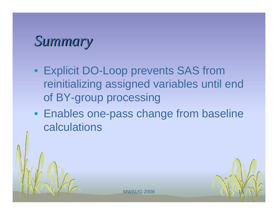#### *Summary Summary*

- Explicit DO-Loop prevents SAS from reinitializing assigned variables until end of BY-group processing
- Enables one-pass change from baseline calculations

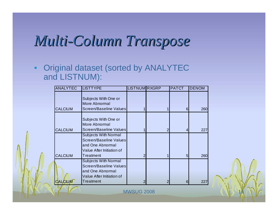## *Multi -Column Transpose Column Transpose*

• Original dataset (sorted by ANALYTEC and LISTNUM):

| <b>ANALYTEC</b> | <b>LISTTYPE</b>                                                                                                     | <b>LISTNUM RXGRP</b> |                | <b>PATCT</b> | <b>DENOM</b> |  |  |
|-----------------|---------------------------------------------------------------------------------------------------------------------|----------------------|----------------|--------------|--------------|--|--|
| <b>CALCIUM</b>  | Subjects With One or<br>More Abnormal<br>Screen/Baseline Values                                                     |                      |                | 61           | 260          |  |  |
| <b>CALCIUM</b>  | Subjects With One or<br>More Abnormal<br>Screen/Baseline Values                                                     |                      | $\overline{2}$ | 4            | 227          |  |  |
| <b>CALCIUM</b>  | <b>Subjects With Normal</b><br>Screen/Baseline Values<br>and One Abnormal<br>Value After Initiation of<br>Treatment | $\overline{2}$       | 1              | 51           | 260          |  |  |
| <b>CALCIUM</b>  | <b>Subjects With Normal</b><br>Screen/Baseline Values<br>and One Abnormal<br>Value After Initiation of<br>Treatment | 2                    | $\mathcal{P}$  | 61           | 227          |  |  |
| MWSUG 2008      |                                                                                                                     |                      |                |              |              |  |  |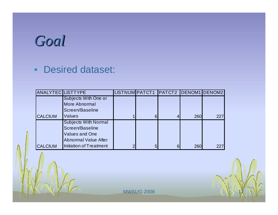# *Goal*

#### • Desired dataset:

| <b>ANALYTEC LISTTYPE</b> |                             |   |   | LISTNUM PATCT1 PATCT2 DENOM1 DENOM2 |     |     |
|--------------------------|-----------------------------|---|---|-------------------------------------|-----|-----|
|                          | Subjects With One or        |   |   |                                     |     |     |
|                          | <b>More Abnormal</b>        |   |   |                                     |     |     |
|                          | Screen/Baseline             |   |   |                                     |     |     |
| <b>CALCIUM</b>           | Values                      |   | 6 |                                     | 260 | 227 |
|                          | <b>Subjects With Normal</b> |   |   |                                     |     |     |
|                          | Screen/Baseline             |   |   |                                     |     |     |
|                          | <b>Values and One</b>       |   |   |                                     |     |     |
|                          | <b>Abnormal Value After</b> |   |   |                                     |     |     |
| <b>CALCIUM</b>           | Initiation of Treatment     | っ | 5 | 6                                   | 260 | 227 |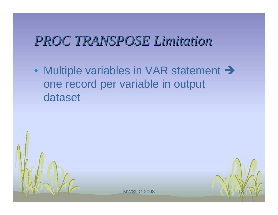#### *PROC TRANSPOSE Limitation PROC TRANSPOSE Limitation*

• Multiple variables in VAR statement  $\rightarrow$ one record per variable in output dataset



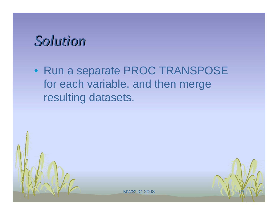#### *Solution Solution*

• Run a separate PROC TRANSPOSE for each variable, and then merge resulting datasets.



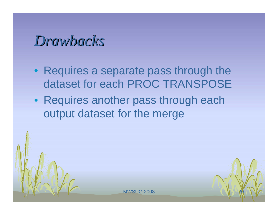#### *Drawbacks Drawbacks*

- Requires a separate pass through the dataset for each PROC TRANSPOSE
- Requires another pass through each output dataset for the merge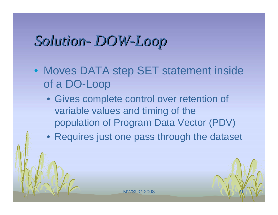#### *Solution Solution DOW-Loop*

- Moves DATA step SET statement inside of a DO-Loop
	- Gives complete control over retention of variable values and timing of the population of Program Data Vector (PDV)
	- Requires just one pass through the dataset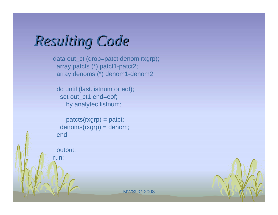*Resulting Code Resulting Code*

data out\_ct (drop=patct denom rxgrp); array patcts (\*) patct1-patct2; array denoms (\*) denom1-denom2;

do until (last.listnum or eof); set out\_ct1 end=eof; by analytec listnum;

patcts(rxgrp) = patct; denoms(rxgrp) = denom; end;

output; run;

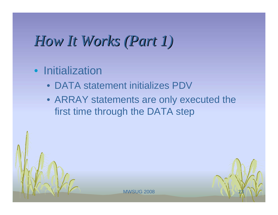## *How It Works (Part 1) How It Works (Part 1)*

#### • Initialization

- DATA statement initializes PDV
- ARRAY statements are only executed the first time through the DATA step

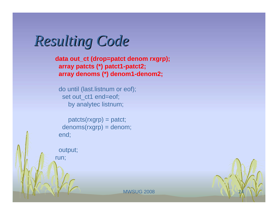*Resulting Code Resulting Code*

**data out\_ct (drop=patct denom rxgrp); array patcts (\*) patct1-patct2; array denoms (\*) denom1-denom2;**

do until (last.listnum or eof); set out\_ct1 end=eof; by analytec listnum;

patcts(rxgrp) = patct; denoms(rxgrp) = denom; end;

output; run;

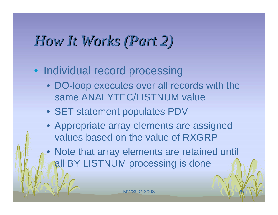### *How It Works (Part 2) How It Works (Part 2)*

- Individual record processing
	- DO-loop executes over all records with the same ANALYTEC/LISTNUM value
	- SET statement populates PDV
	- Appropriate array elements are assigned values based on the value of RXGRP
	- $\bullet$  Note that array elements are retained until all BY LISTNUM processing is done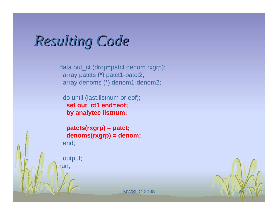#### *Resulting Code Resulting Code*

data out\_ct (drop=patct denom rxgrp); array patcts (\*) patct1-patct2; array denoms (\*) denom1-denom2;

do until (last.listnum or eof); **set out\_ct1 end=eof; by analytec listnum;**

**patcts(rxgrp) = patct; denoms(rxgrp) = denom;** end;

output; run;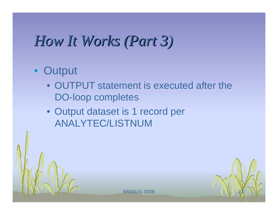## *How It Works (Part 3) How It Works (Part 3)*

#### • Output

- OUTPUT statement is executed after the DO-loop completes
- Output dataset is 1 record per ANALYTEC/LISTNUM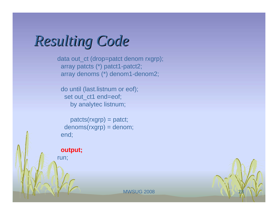*Resulting Code Resulting Code*

data out\_ct (drop=patct denom rxgrp); array patcts (\*) patct1-patct2; array denoms (\*) denom1-denom2;

do until (last.listnum or eof); set out\_ct1 end=eof; by analytec listnum;

patcts(rxgrp) = patct; denoms(rxgrp) = denom; end;

**output;** run;

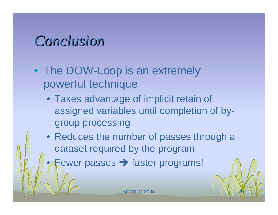#### *Conclusion Conclusion*

 $\bullet$ 

- The DOW-Loop is an extremely powerful technique
	- Takes advantage of implicit retain of assigned variables until completion of bygroup processing
	- Reduces the number of passes through a dataset required by the program
		- Fewer passes  $\rightarrow$  faster programs!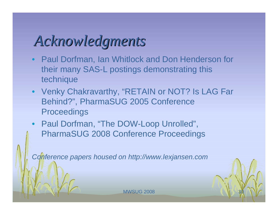# *Acknowledgments Acknowledgments*

- Paul Dorfman, Ian Whitlock and Don Henderson for their many SAS-L postings demonstrating this technique
- Venky Chakravarthy, "RETAIN or NOT? Is LAG Far Behind?", PharmaSUG 2005 Conference **Proceedings**
- Paul Dorfman, "The DOW-Loop Unrolled", PharmaSUG 2008 Conference Proceedings

*Conference papers housed on http://www.lexjansen.com*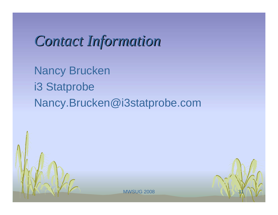## *Contact Information Contact Information*

Nancy Brucken i3 Statprobe Nancy.Brucken@i3statprobe.com